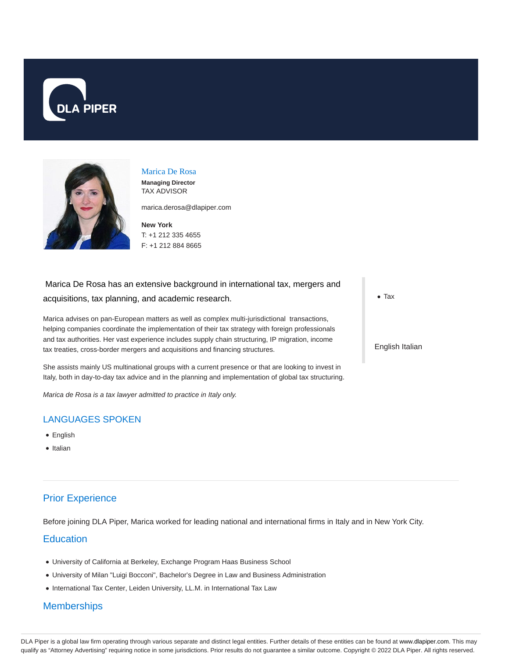



#### Marica De Rosa

**Managing Director** TAX ADVISOR

marica.derosa@dlapiper.com

**New York** T: +1 212 335 4655 F: +1 212 884 8665

# Marica De Rosa has an extensive background in international tax, mergers and acquisitions, tax planning, and academic research.

Marica advises on pan-European matters as well as complex multi-jurisdictional transactions, helping companies coordinate the implementation of their tax strategy with foreign professionals and tax authorities. Her vast experience includes supply chain structuring, IP migration, income tax treaties, cross-border mergers and acquisitions and financing structures.

She assists mainly US multinational groups with a current presence or that are looking to invest in Italy, both in day-to-day tax advice and in the planning and implementation of global tax structuring.

Marica de Rosa is a tax lawyer admitted to practice in Italy only.

### LANGUAGES SPOKEN

- English
- Italian

## Prior Experience

Before joining DLA Piper, Marica worked for leading national and international firms in Italy and in New York City.

#### **Education**

- University of California at Berkeley, Exchange Program Haas Business School
- University of Milan "Luigi Bocconi", Bachelor's Degree in Law and Business Administration
- $\bullet$  International Tax Center, Leiden University, LL.M. in International Tax Law

#### **Memberships**

• Tax

English Italian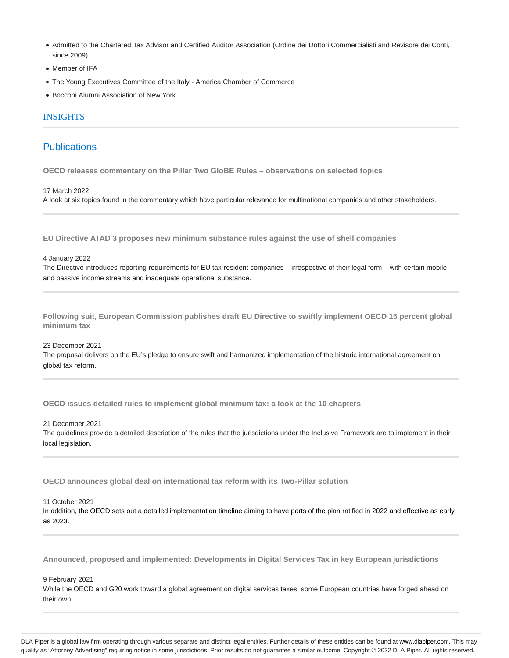- Admitted to the Chartered Tax Advisor and Certified Auditor Association (Ordine dei Dottori Commercialisti and Revisore dei Conti, since 2009)
- Member of IFA
- The Young Executives Committee of the Italy America Chamber of Commerce
- Bocconi Alumni Association of New York

#### INSIGHTS

#### **Publications**

**OECD releases commentary on the Pillar Two GloBE Rules – observations on selected topics**

17 March 2022 A look at six topics found in the commentary which have particular relevance for multinational companies and other stakeholders.

**EU Directive ATAD 3 proposes new minimum substance rules against the use of shell companies**

4 January 2022

The Directive introduces reporting requirements for EU tax-resident companies – irrespective of their legal form – with certain mobile and passive income streams and inadequate operational substance.

**Following suit, European Commission publishes draft EU Directive to swiftly implement OECD 15 percent global minimum tax**

23 December 2021

The proposal delivers on the EU's pledge to ensure swift and harmonized implementation of the historic international agreement on global tax reform.

**OECD issues detailed rules to implement global minimum tax: a look at the 10 chapters**

21 December 2021

The guidelines provide a detailed description of the rules that the jurisdictions under the Inclusive Framework are to implement in their local legislation.

**OECD announces global deal on international tax reform with its Two-Pillar solution**

11 October 2021

In addition, the OECD sets out a detailed implementation timeline aiming to have parts of the plan ratified in 2022 and effective as early as 2023.

**Announced, proposed and implemented: Developments in Digital Services Tax in key European jurisdictions**

9 February 2021

While the OECD and G20 work toward a global agreement on digital services taxes, some European countries have forged ahead on their own.

DLA Piper is a global law firm operating through various separate and distinct legal entities. Further details of these entities can be found at www.dlapiper.com. This may qualify as "Attorney Advertising" requiring notice in some jurisdictions. Prior results do not guarantee a similar outcome. Copyright @ 2022 DLA Piper. All rights reserved.